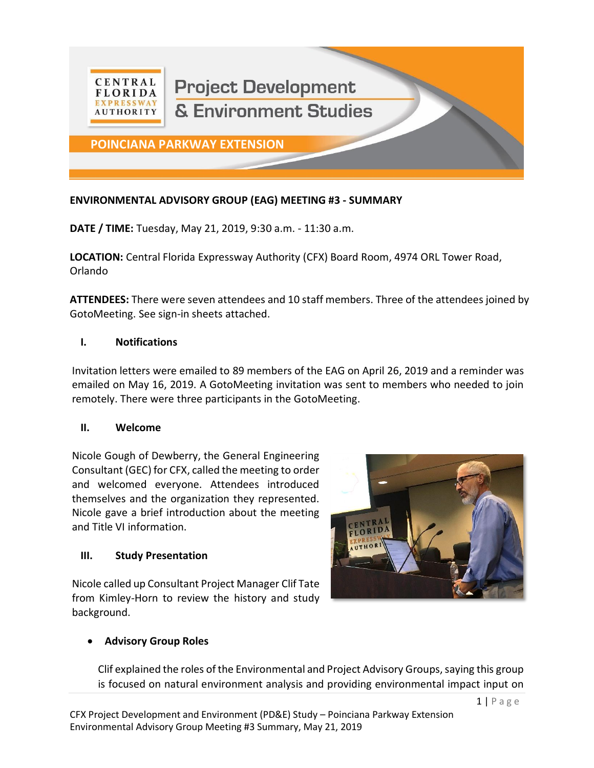

# **ENVIRONMENTAL ADVISORY GROUP (EAG) MEETING #3 - SUMMARY**

**DATE / TIME:** Tuesday, May 21, 2019, 9:30 a.m. - 11:30 a.m.

**LOCATION:** Central Florida Expressway Authority (CFX) Board Room, 4974 ORL Tower Road, Orlando

**ATTENDEES:** There were seven attendees and 10 staff members. Three of the attendees joined by GotoMeeting. See sign-in sheets attached.

### **I. Notifications**

Invitation letters were emailed to 89 members of the EAG on April 26, 2019 and a reminder was emailed on May 16, 2019. A GotoMeeting invitation was sent to members who needed to join remotely. There were three participants in the GotoMeeting.

### **II. Welcome**

Nicole Gough of Dewberry, the General Engineering Consultant (GEC) for CFX, called the meeting to order and welcomed everyone. Attendees introduced themselves and the organization they represented. Nicole gave a brief introduction about the meeting and Title VI information.

### **III. Study Presentation**

Nicole called up Consultant Project Manager Clif Tate from Kimley-Horn to review the history and study background.



## • **Advisory Group Roles**

Clif explained the roles of the Environmental and Project Advisory Groups, saying this group is focused on natural environment analysis and providing environmental impact input on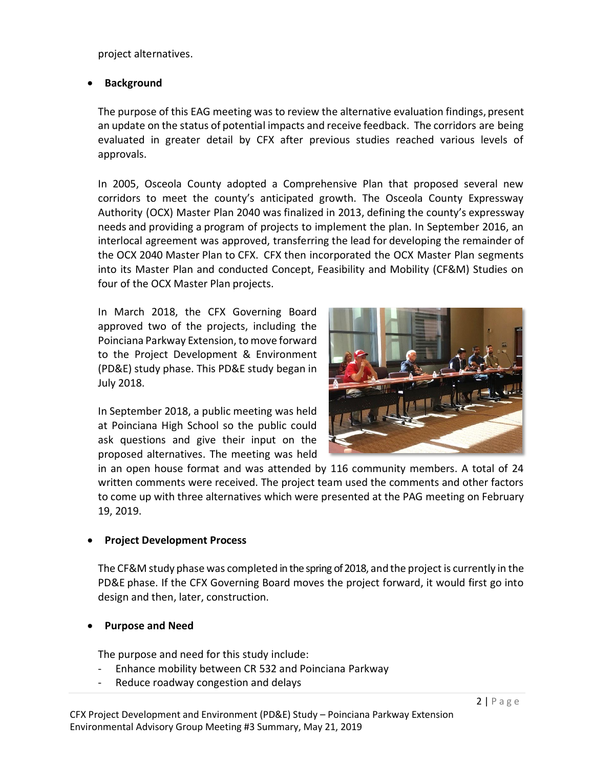project alternatives.

## • **Background**

The purpose of this EAG meeting was to review the alternative evaluation findings, present an update on the status of potential impacts and receive feedback. The corridors are being evaluated in greater detail by CFX after previous studies reached various levels of approvals.

In 2005, Osceola County adopted a Comprehensive Plan that proposed several new corridors to meet the county's anticipated growth. The Osceola County Expressway Authority (OCX) Master Plan 2040 was finalized in 2013, defining the county's expressway needs and providing a program of projects to implement the plan. In September 2016, an interlocal agreement was approved, transferring the lead for developing the remainder of the OCX 2040 Master Plan to CFX. CFX then incorporated the OCX Master Plan segments into its Master Plan and conducted Concept, Feasibility and Mobility (CF&M) Studies on four of the OCX Master Plan projects.

In March 2018, the CFX Governing Board approved two of the projects, including the Poinciana Parkway Extension, to move forward to the Project Development & Environment (PD&E) study phase. This PD&E study began in July 2018.

In September 2018, a public meeting was held at Poinciana High School so the public could ask questions and give their input on the proposed alternatives. The meeting was held



in an open house format and was attended by 116 community members. A total of 24 written comments were received. The project team used the comments and other factors to come up with three alternatives which were presented at the PAG meeting on February 19, 2019.

## • **Project Development Process**

The CF&M study phase was completed in the spring of 2018, and the project is currently in the PD&E phase. If the CFX Governing Board moves the project forward, it would first go into design and then, later, construction.

## • **Purpose and Need**

The purpose and need for this study include:

- Enhance mobility between CR 532 and Poinciana Parkway
- Reduce roadway congestion and delays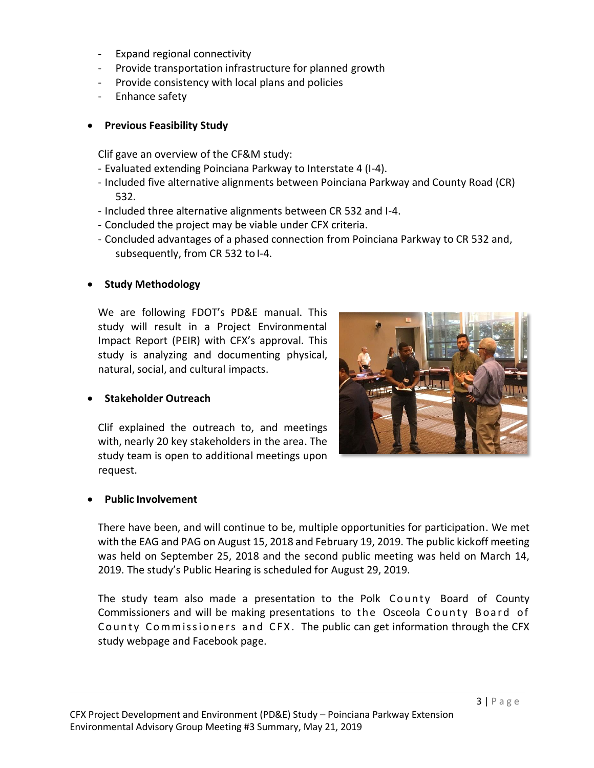- Expand regional connectivity
- Provide transportation infrastructure for planned growth
- Provide consistency with local plans and policies
- Enhance safety

## • **Previous Feasibility Study**

Clif gave an overview of the CF&M study:

- Evaluated extending Poinciana Parkway to Interstate 4 (I-4).
- Included five alternative alignments between Poinciana Parkway and County Road (CR) 532.
- Included three alternative alignments between CR 532 and I-4.
- Concluded the project may be viable under CFX criteria.
- Concluded advantages of a phased connection from Poinciana Parkway to CR 532 and, subsequently, from CR 532 to I-4.

# • **Study Methodology**

We are following FDOT's PD&E manual. This study will result in a Project Environmental Impact Report (PEIR) with CFX's approval. This study is analyzing and documenting physical, natural, social, and cultural impacts.



Clif explained the outreach to, and meetings with, nearly 20 key stakeholders in the area. The study team is open to additional meetings upon request.



There have been, and will continue to be, multiple opportunities for participation. We met with the EAG and PAG on August 15, 2018 and February 19, 2019. The public kickoff meeting was held on September 25, 2018 and the second public meeting was held on March 14, 2019. The study's Public Hearing is scheduled for August 29, 2019.

The study team also made a presentation to the Polk County Board of County Commissioners and will be making presentations to the Osceola County Board of County Commissioners and CFX. The public can get information through the CFX study webpage and Facebook page.

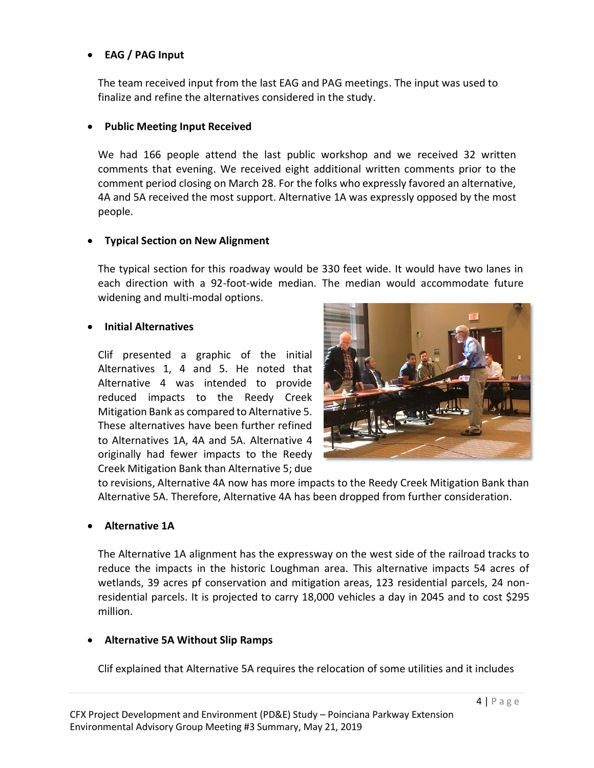### • **EAG / PAG Input**

The team received input from the last EAG and PAG meetings. The input was used to finalize and refine the alternatives considered in the study.

### • **Public Meeting Input Received**

We had 166 people attend the last public workshop and we received 32 written comments that evening. We received eight additional written comments prior to the comment period closing on March 28. For the folks who expressly favored an alternative, 4A and 5A received the most support. Alternative 1A was expressly opposed by the most people.

### • **Typical Section on New Alignment**

The typical section for this roadway would be 330 feet wide. It would have two lanes in each direction with a 92-foot-wide median. The median would accommodate future widening and multi-modal options.

### • **Initial Alternatives**

Clif presented a graphic of the initial Alternatives 1, 4 and 5. He noted that Alternative 4 was intended to provide reduced impacts to the Reedy Creek Mitigation Bank as compared to Alternative 5. These alternatives have been further refined to Alternatives 1A, 4A and 5A. Alternative 4 originally had fewer impacts to the Reedy Creek Mitigation Bank than Alternative 5; due



to revisions, Alternative 4A now has more impacts to the Reedy Creek Mitigation Bank than Alternative 5A. Therefore, Alternative 4A has been dropped from further consideration.

### • **Alternative 1A**

The Alternative 1A alignment has the expressway on the west side of the railroad tracks to reduce the impacts in the historic Loughman area. This alternative impacts 54 acres of wetlands, 39 acres pf conservation and mitigation areas, 123 residential parcels, 24 nonresidential parcels. It is projected to carry 18,000 vehicles a day in 2045 and to cost \$295 million.

## • **Alternative 5A Without Slip Ramps**

Clif explained that Alternative 5A requires the relocation of some utilities and it includes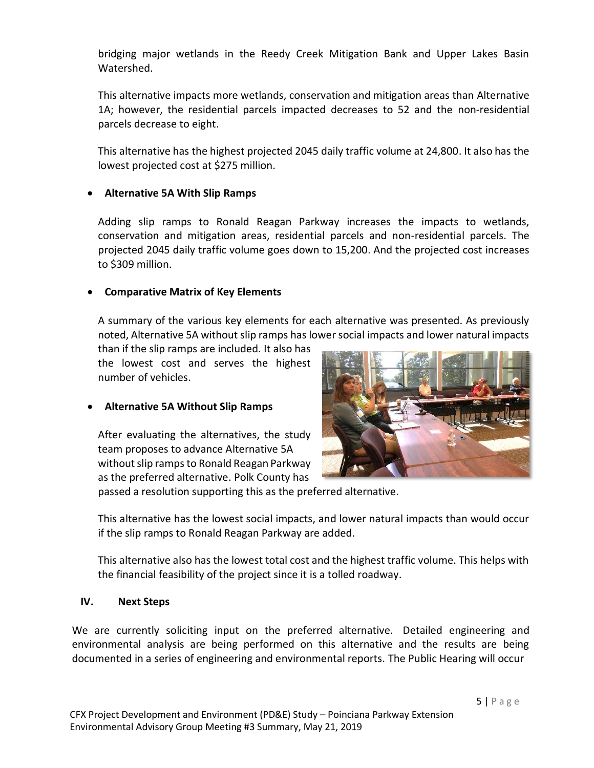bridging major wetlands in the Reedy Creek Mitigation Bank and Upper Lakes Basin Watershed.

This alternative impacts more wetlands, conservation and mitigation areas than Alternative 1A; however, the residential parcels impacted decreases to 52 and the non-residential parcels decrease to eight.

This alternative has the highest projected 2045 daily traffic volume at 24,800. It also has the lowest projected cost at \$275 million.

### • **Alternative 5A With Slip Ramps**

Adding slip ramps to Ronald Reagan Parkway increases the impacts to wetlands, conservation and mitigation areas, residential parcels and non-residential parcels. The projected 2045 daily traffic volume goes down to 15,200. And the projected cost increases to \$309 million.

### • **Comparative Matrix of Key Elements**

A summary of the various key elements for each alternative was presented. As previously noted, Alternative 5A without slip ramps has lower social impacts and lower natural impacts

than if the slip ramps are included. It also has the lowest cost and serves the highest number of vehicles.

## • **Alternative 5A Without Slip Ramps**

After evaluating the alternatives, the study team proposes to advance Alternative 5A without slip ramps to Ronald Reagan Parkway as the preferred alternative. Polk County has



passed a resolution supporting this as the preferred alternative.

This alternative has the lowest social impacts, and lower natural impacts than would occur if the slip ramps to Ronald Reagan Parkway are added.

This alternative also has the lowest total cost and the highest traffic volume. This helps with the financial feasibility of the project since it is a tolled roadway.

### **IV. Next Steps**

We are currently soliciting input on the preferred alternative. Detailed engineering and environmental analysis are being performed on this alternative and the results are being documented in a series of engineering and environmental reports. The Public Hearing will occur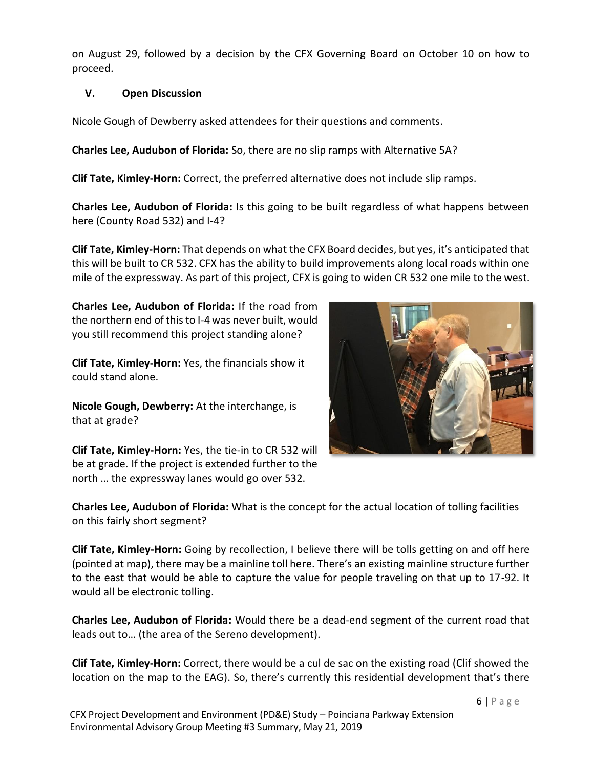on August 29, followed by a decision by the CFX Governing Board on October 10 on how to proceed.

## **V. Open Discussion**

Nicole Gough of Dewberry asked attendees for their questions and comments.

**Charles Lee, Audubon of Florida:** So, there are no slip ramps with Alternative 5A?

**Clif Tate, Kimley-Horn:** Correct, the preferred alternative does not include slip ramps.

**Charles Lee, Audubon of Florida:** Is this going to be built regardless of what happens between here (County Road 532) and I-4?

**Clif Tate, Kimley-Horn:** That depends on what the CFX Board decides, but yes, it's anticipated that this will be built to CR 532. CFX has the ability to build improvements along local roads within one mile of the expressway. As part of this project, CFX is going to widen CR 532 one mile to the west.

**Charles Lee, Audubon of Florida:** If the road from the northern end of this to I-4 was never built, would you still recommend this project standing alone?

**Clif Tate, Kimley-Horn:** Yes, the financials show it could stand alone.

**Nicole Gough, Dewberry:** At the interchange, is that at grade?



**Clif Tate, Kimley-Horn:** Yes, the tie-in to CR 532 will be at grade. If the project is extended further to the north … the expressway lanes would go over 532.

**Charles Lee, Audubon of Florida:** What is the concept for the actual location of tolling facilities on this fairly short segment?

**Clif Tate, Kimley-Horn:** Going by recollection, I believe there will be tolls getting on and off here (pointed at map), there may be a mainline toll here. There's an existing mainline structure further to the east that would be able to capture the value for people traveling on that up to 17-92. It would all be electronic tolling.

**Charles Lee, Audubon of Florida:** Would there be a dead-end segment of the current road that leads out to… (the area of the Sereno development).

**Clif Tate, Kimley-Horn:** Correct, there would be a cul de sac on the existing road (Clif showed the location on the map to the EAG). So, there's currently this residential development that's there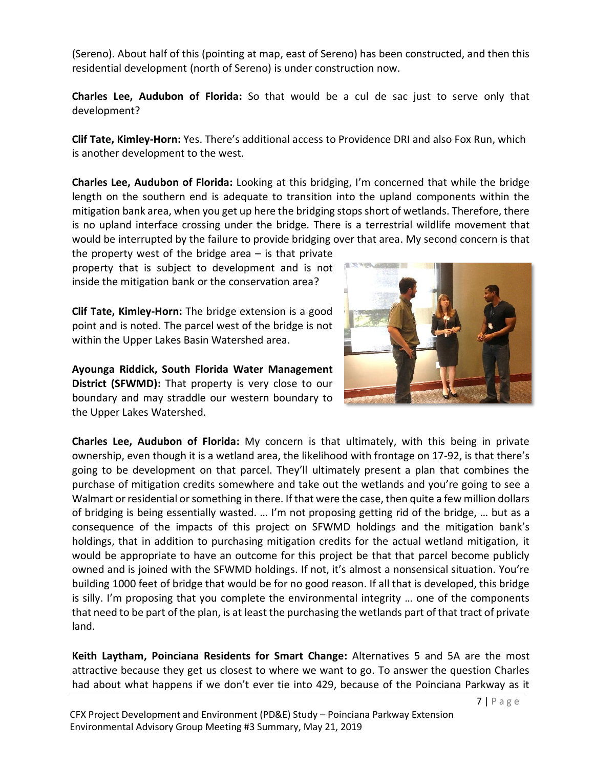(Sereno). About half of this (pointing at map, east of Sereno) has been constructed, and then this residential development (north of Sereno) is under construction now.

**Charles Lee, Audubon of Florida:** So that would be a cul de sac just to serve only that development?

**Clif Tate, Kimley-Horn:** Yes. There's additional access to Providence DRI and also Fox Run, which is another development to the west.

**Charles Lee, Audubon of Florida:** Looking at this bridging, I'm concerned that while the bridge length on the southern end is adequate to transition into the upland components within the mitigation bank area, when you get up here the bridging stops short of wetlands. Therefore, there is no upland interface crossing under the bridge. There is a terrestrial wildlife movement that would be interrupted by the failure to provide bridging over that area. My second concern is that

the property west of the bridge area  $-$  is that private property that is subject to development and is not inside the mitigation bank or the conservation area?

**Clif Tate, Kimley-Horn:** The bridge extension is a good point and is noted. The parcel west of the bridge is not within the Upper Lakes Basin Watershed area.

**Ayounga Riddick, South Florida Water Management District (SFWMD):** That property is very close to our boundary and may straddle our western boundary to the Upper Lakes Watershed.



**Charles Lee, Audubon of Florida:** My concern is that ultimately, with this being in private ownership, even though it is a wetland area, the likelihood with frontage on 17-92, is that there's going to be development on that parcel. They'll ultimately present a plan that combines the purchase of mitigation credits somewhere and take out the wetlands and you're going to see a Walmart or residential or something in there. If that were the case, then quite a few million dollars of bridging is being essentially wasted. … I'm not proposing getting rid of the bridge, … but as a consequence of the impacts of this project on SFWMD holdings and the mitigation bank's holdings, that in addition to purchasing mitigation credits for the actual wetland mitigation, it would be appropriate to have an outcome for this project be that that parcel become publicly owned and is joined with the SFWMD holdings. If not, it's almost a nonsensical situation. You're building 1000 feet of bridge that would be for no good reason. If all that is developed, this bridge is silly. I'm proposing that you complete the environmental integrity … one of the components that need to be part of the plan, is at least the purchasing the wetlands part of that tract of private land.

**Keith Laytham, Poinciana Residents for Smart Change:** Alternatives 5 and 5A are the most attractive because they get us closest to where we want to go. To answer the question Charles had about what happens if we don't ever tie into 429, because of the Poinciana Parkway as it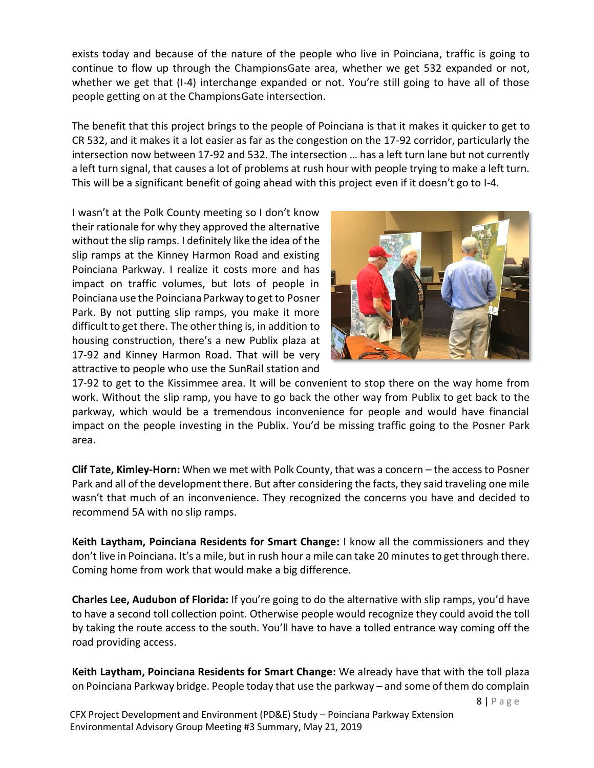exists today and because of the nature of the people who live in Poinciana, traffic is going to continue to flow up through the ChampionsGate area, whether we get 532 expanded or not, whether we get that (I-4) interchange expanded or not. You're still going to have all of those people getting on at the ChampionsGate intersection.

The benefit that this project brings to the people of Poinciana is that it makes it quicker to get to CR 532, and it makes it a lot easier as far as the congestion on the 17-92 corridor, particularly the intersection now between 17-92 and 532. The intersection … has a left turn lane but not currently a left turn signal, that causes a lot of problems at rush hour with people trying to make a left turn. This will be a significant benefit of going ahead with this project even if it doesn't go to I-4.

I wasn't at the Polk County meeting so I don't know their rationale for why they approved the alternative without the slip ramps. I definitely like the idea of the slip ramps at the Kinney Harmon Road and existing Poinciana Parkway. I realize it costs more and has impact on traffic volumes, but lots of people in Poinciana use the Poinciana Parkway to get to Posner Park. By not putting slip ramps, you make it more difficult to get there. The other thing is, in addition to housing construction, there's a new Publix plaza at 17-92 and Kinney Harmon Road. That will be very attractive to people who use the SunRail station and



17-92 to get to the Kissimmee area. It will be convenient to stop there on the way home from work. Without the slip ramp, you have to go back the other way from Publix to get back to the parkway, which would be a tremendous inconvenience for people and would have financial impact on the people investing in the Publix. You'd be missing traffic going to the Posner Park area.

**Clif Tate, Kimley-Horn:** When we met with Polk County, that was a concern – the access to Posner Park and all of the development there. But after considering the facts, they said traveling one mile wasn't that much of an inconvenience. They recognized the concerns you have and decided to recommend 5A with no slip ramps.

**Keith Laytham, Poinciana Residents for Smart Change:** I know all the commissioners and they don't live in Poinciana. It's a mile, but in rush hour a mile can take 20 minutes to get through there. Coming home from work that would make a big difference.

**Charles Lee, Audubon of Florida:** If you're going to do the alternative with slip ramps, you'd have to have a second toll collection point. Otherwise people would recognize they could avoid the toll by taking the route access to the south. You'll have to have a tolled entrance way coming off the road providing access.

**Keith Laytham, Poinciana Residents for Smart Change:** We already have that with the toll plaza on Poinciana Parkway bridge. People today that use the parkway – and some of them do complain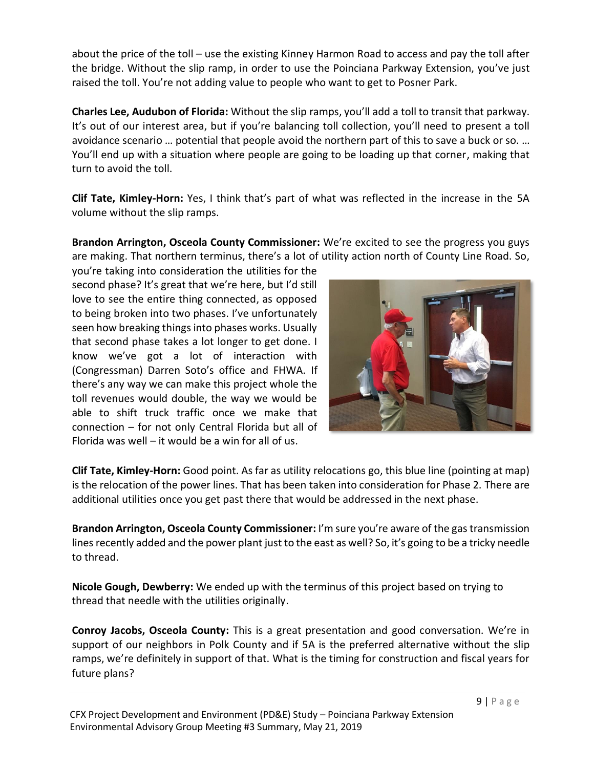about the price of the toll – use the existing Kinney Harmon Road to access and pay the toll after the bridge. Without the slip ramp, in order to use the Poinciana Parkway Extension, you've just raised the toll. You're not adding value to people who want to get to Posner Park.

**Charles Lee, Audubon of Florida:** Without the slip ramps, you'll add a toll to transit that parkway. It's out of our interest area, but if you're balancing toll collection, you'll need to present a toll avoidance scenario … potential that people avoid the northern part of this to save a buck or so. … You'll end up with a situation where people are going to be loading up that corner, making that turn to avoid the toll.

**Clif Tate, Kimley-Horn:** Yes, I think that's part of what was reflected in the increase in the 5A volume without the slip ramps.

**Brandon Arrington, Osceola County Commissioner:** We're excited to see the progress you guys are making. That northern terminus, there's a lot of utility action north of County Line Road. So,

you're taking into consideration the utilities for the second phase? It's great that we're here, but I'd still love to see the entire thing connected, as opposed to being broken into two phases. I've unfortunately seen how breaking things into phases works. Usually that second phase takes a lot longer to get done. I know we've got a lot of interaction with (Congressman) Darren Soto's office and FHWA. If there's any way we can make this project whole the toll revenues would double, the way we would be able to shift truck traffic once we make that connection – for not only Central Florida but all of Florida was well – it would be a win for all of us.



**Clif Tate, Kimley-Horn:** Good point. As far as utility relocations go, this blue line (pointing at map) is the relocation of the power lines. That has been taken into consideration for Phase 2. There are additional utilities once you get past there that would be addressed in the next phase.

**Brandon Arrington, Osceola County Commissioner:** I'm sure you're aware of the gas transmission lines recently added and the power plant just to the east as well? So, it's going to be a tricky needle to thread.

**Nicole Gough, Dewberry:** We ended up with the terminus of this project based on trying to thread that needle with the utilities originally.

**Conroy Jacobs, Osceola County:** This is a great presentation and good conversation. We're in support of our neighbors in Polk County and if 5A is the preferred alternative without the slip ramps, we're definitely in support of that. What is the timing for construction and fiscal years for future plans?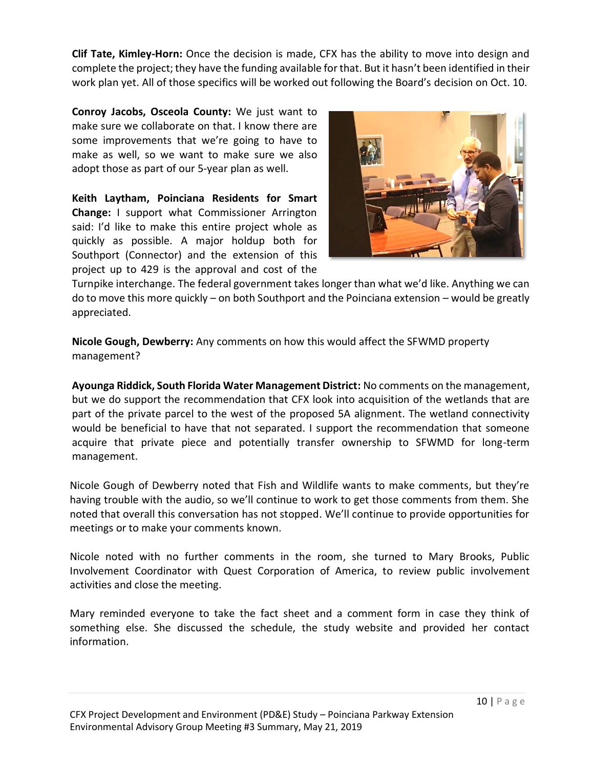**Clif Tate, Kimley-Horn:** Once the decision is made, CFX has the ability to move into design and complete the project; they have the funding available for that. But it hasn't been identified in their work plan yet. All of those specifics will be worked out following the Board's decision on Oct. 10.

**Conroy Jacobs, Osceola County:** We just want to make sure we collaborate on that. I know there are some improvements that we're going to have to make as well, so we want to make sure we also adopt those as part of our 5-year plan as well.

**Keith Laytham, Poinciana Residents for Smart Change:** I support what Commissioner Arrington said: I'd like to make this entire project whole as quickly as possible. A major holdup both for Southport (Connector) and the extension of this project up to 429 is the approval and cost of the



Turnpike interchange. The federal government takes longer than what we'd like. Anything we can do to move this more quickly – on both Southport and the Poinciana extension – would be greatly appreciated.

**Nicole Gough, Dewberry:** Any comments on how this would affect the SFWMD property management?

**Ayounga Riddick, South Florida Water Management District:** No comments on the management, but we do support the recommendation that CFX look into acquisition of the wetlands that are part of the private parcel to the west of the proposed 5A alignment. The wetland connectivity would be beneficial to have that not separated. I support the recommendation that someone acquire that private piece and potentially transfer ownership to SFWMD for long-term management.

Nicole Gough of Dewberry noted that Fish and Wildlife wants to make comments, but they're having trouble with the audio, so we'll continue to work to get those comments from them. She noted that overall this conversation has not stopped. We'll continue to provide opportunities for meetings or to make your comments known.

Nicole noted with no further comments in the room, she turned to Mary Brooks, Public Involvement Coordinator with Quest Corporation of America, to review public involvement activities and close the meeting.

Mary reminded everyone to take the fact sheet and a comment form in case they think of something else. She discussed the schedule, the study website and provided her contact information.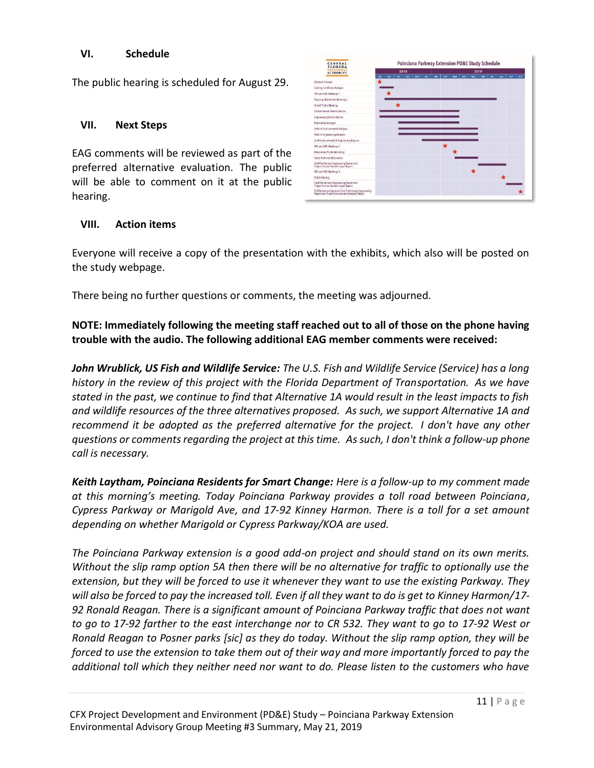#### **VI. Schedule**

The public hearing is scheduled for August 29.

#### **VII. Next Steps**

EAG comments will be reviewed as part of the preferred alternative evaluation. The public will be able to comment on it at the public hearing.

| <b>CENTRAL</b><br><b>FLORID</b>                                                                        | Poinciana Parkway Extension PD&E Study Schedule |     |            |     |            |            |            |           |            |     |      |            |   |     |            |     |
|--------------------------------------------------------------------------------------------------------|-------------------------------------------------|-----|------------|-----|------------|------------|------------|-----------|------------|-----|------|------------|---|-----|------------|-----|
| <b>AUTHORIT</b>                                                                                        | 2018                                            |     |            |     |            |            | 2019       |           |            |     |      |            |   |     |            |     |
|                                                                                                        | m                                               | an. | <b>SEP</b> | ort | <b>DOP</b> | <b>DEC</b> | <b>Jes</b> | <b>RI</b> | <b>MAR</b> | em. | trúy | <b>JUN</b> | m | 406 | <b>SIP</b> | 00T |
| Notice to Proceed                                                                                      |                                                 |     |            |     |            |            |            |           |            |     |      |            |   |     |            |     |
| Existing Conditions Analysis                                                                           |                                                 |     |            |     |            |            |            |           |            |     |      |            |   |     |            |     |
| PAG and EAG Meetings 1                                                                                 |                                                 |     |            |     |            |            |            |           |            |     |      |            |   |     |            |     |
| <b>Orgoing Stakeholder Meetings</b>                                                                    |                                                 |     |            |     |            |            |            |           |            |     |      |            |   |     |            |     |
| Kickoff Public Monting                                                                                 |                                                 |     |            |     |            |            |            |           |            |     |      |            |   |     |            |     |
| Emironmental Data Collection                                                                           |                                                 |     |            |     |            |            |            |           |            |     |      |            |   |     |            |     |
| Engineering Data Collection                                                                            |                                                 |     |            |     |            |            |            |           |            |     |      |            |   |     |            |     |
| Alternatives Analysis                                                                                  |                                                 |     |            |     |            |            |            |           |            |     |      |            |   |     |            |     |
| Perform Environmental Analysis                                                                         |                                                 |     |            |     |            |            |            |           |            |     |      |            |   |     |            |     |
| Perform Engineering Analysis                                                                           |                                                 |     |            |     |            |            |            |           |            |     |      |            |   |     |            |     |
| Draft Environmental & Engineering Reports                                                              |                                                 |     |            |     |            |            |            |           |            |     |      |            |   |     |            |     |
| PAG and EAG Meetings 2                                                                                 |                                                 |     |            |     |            |            |            |           |            |     |      |            |   |     |            |     |
| Alternatives Public Workshop                                                                           |                                                 |     |            |     |            |            |            |           |            |     |      |            |   |     |            |     |
| Select Preferred Alternative                                                                           |                                                 |     |            |     |            |            |            |           |            |     |      |            |   |     |            |     |
| Draft Preliminary Engineering Report and<br>Project Environmental Impact Report                        |                                                 |     |            |     |            |            |            |           |            |     |      |            |   |     |            |     |
| PAG and EAG Meetings 3                                                                                 |                                                 |     |            |     |            |            |            |           |            |     |      |            |   |     |            |     |
| Public Hearing                                                                                         |                                                 |     |            |     |            |            |            |           |            |     |      |            |   |     |            |     |
| Final Preliminary Engineering Report and<br>Project Environmental Impact Report                        |                                                 |     |            |     |            |            |            |           |            |     |      |            |   |     |            |     |
| CFX Raview and Approve Final Preliminary Engineering<br>Report and Project Environmental Impact Report |                                                 |     |            |     |            |            |            |           |            |     |      |            |   |     |            |     |

### **VIII. Action items**

Everyone will receive a copy of the presentation with the exhibits, which also will be posted on the study webpage.

There being no further questions or comments, the meeting was adjourned.

**NOTE: Immediately following the meeting staff reached out to all of those on the phone having trouble with the audio. The following additional EAG member comments were received:**

*John Wrublick, US Fish and Wildlife Service: The U.S. Fish and Wildlife Service (Service) has a long history in the review of this project with the Florida Department of Transportation. As we have stated in the past, we continue to find that Alternative 1A would result in the least impacts to fish and wildlife resources of the three alternatives proposed. As such, we support Alternative 1A and recommend it be adopted as the preferred alternative for the project. I don't have any other questions or comments regarding the project at this time. As such, I don't think a follow-up phone call is necessary.*

*Keith Laytham, Poinciana Residents for Smart Change: Here is a follow-up to my comment made at this morning's meeting. Today Poinciana Parkway provides a toll road between Poinciana, Cypress Parkway or Marigold Ave, and 17-92 Kinney Harmon. There is a toll for a set amount depending on whether Marigold or Cypress Parkway/KOA are used.*

*The Poinciana Parkway extension is a good add-on project and should stand on its own merits. Without the slip ramp option 5A then there will be no alternative for traffic to optionally use the extension, but they will be forced to use it whenever they want to use the existing Parkway. They will also be forced to pay the increased toll. Even if all they want to do is get to Kinney Harmon/17- 92 Ronald Reagan. There is a significant amount of Poinciana Parkway traffic that does not want to go to 17-92 farther to the east interchange nor to CR 532. They want to go to 17-92 West or Ronald Reagan to Posner parks [sic] as they do today. Without the slip ramp option, they will be forced to use the extension to take them out of their way and more importantly forced to pay the additional toll which they neither need nor want to do. Please listen to the customers who have*